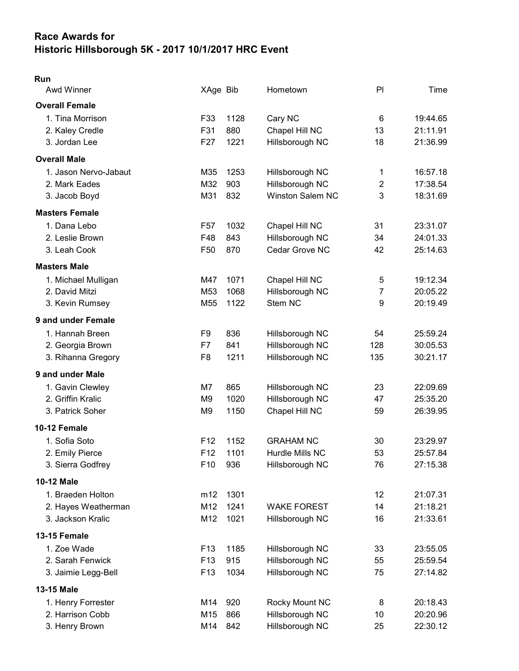## Race Awards for Historic Hillsborough 5K - 2017 10/1/2017 HRC Event

## Run

| <b>Awd Winner</b>     | XAge Bib        |      | Hometown                | PI             | Time     |
|-----------------------|-----------------|------|-------------------------|----------------|----------|
| <b>Overall Female</b> |                 |      |                         |                |          |
| 1. Tina Morrison      | F33             | 1128 | Cary NC                 | 6              | 19:44.65 |
| 2. Kaley Credle       | F31             | 880  | Chapel Hill NC          | 13             | 21:11.91 |
| 3. Jordan Lee         | F <sub>27</sub> | 1221 | Hillsborough NC         | 18             | 21:36.99 |
| <b>Overall Male</b>   |                 |      |                         |                |          |
| 1. Jason Nervo-Jabaut | M35             | 1253 | Hillsborough NC         | 1              | 16:57.18 |
| 2. Mark Eades         | M32             | 903  | Hillsborough NC         | $\overline{2}$ | 17:38.54 |
| 3. Jacob Boyd         | M31             | 832  | <b>Winston Salem NC</b> | 3              | 18:31.69 |
| <b>Masters Female</b> |                 |      |                         |                |          |
| 1. Dana Lebo          | F <sub>57</sub> | 1032 | Chapel Hill NC          | 31             | 23:31.07 |
| 2. Leslie Brown       | F48             | 843  | Hillsborough NC         | 34             | 24:01.33 |
| 3. Leah Cook          | F <sub>50</sub> | 870  | Cedar Grove NC          | 42             | 25:14.63 |
| <b>Masters Male</b>   |                 |      |                         |                |          |
| 1. Michael Mulligan   | M47             | 1071 | Chapel Hill NC          | 5              | 19:12.34 |
| 2. David Mitzi        | M53             | 1068 | Hillsborough NC         | $\overline{7}$ | 20:05.22 |
| 3. Kevin Rumsey       | M <sub>55</sub> | 1122 | Stem NC                 | 9              | 20:19.49 |
| 9 and under Female    |                 |      |                         |                |          |
| 1. Hannah Breen       | F9              | 836  | Hillsborough NC         | 54             | 25:59.24 |
| 2. Georgia Brown      | F7              | 841  | Hillsborough NC         | 128            | 30:05.53 |
| 3. Rihanna Gregory    | F <sub>8</sub>  | 1211 | Hillsborough NC         | 135            | 30:21.17 |
| 9 and under Male      |                 |      |                         |                |          |
| 1. Gavin Clewley      | M7              | 865  | Hillsborough NC         | 23             | 22:09.69 |
| 2. Griffin Kralic     | M <sub>9</sub>  | 1020 | Hillsborough NC         | 47             | 25:35.20 |
| 3. Patrick Soher      | M <sub>9</sub>  | 1150 | Chapel Hill NC          | 59             | 26:39.95 |
| 10-12 Female          |                 |      |                         |                |          |
| 1. Sofia Soto         | F <sub>12</sub> | 1152 | <b>GRAHAM NC</b>        | 30             | 23:29.97 |
| 2. Emily Pierce       | F <sub>12</sub> | 1101 | Hurdle Mills NC         | 53             | 25:57.84 |
| 3. Sierra Godfrey     | F10             | 936  | Hillsborough NC         | 76             | 27:15.38 |
| 10-12 Male            |                 |      |                         |                |          |
| 1. Braeden Holton     | m12             | 1301 |                         | 12             | 21:07.31 |
| 2. Hayes Weatherman   | M12             | 1241 | <b>WAKE FOREST</b>      | 14             | 21:18.21 |
| 3. Jackson Kralic     | M12             | 1021 | Hillsborough NC         | 16             | 21:33.61 |
| 13-15 Female          |                 |      |                         |                |          |
| 1. Zoe Wade           | F <sub>13</sub> | 1185 | Hillsborough NC         | 33             | 23:55.05 |
| 2. Sarah Fenwick      | F <sub>13</sub> | 915  | Hillsborough NC         | 55             | 25:59.54 |
| 3. Jaimie Legg-Bell   | F <sub>13</sub> | 1034 | Hillsborough NC         | 75             | 27:14.82 |
| 13-15 Male            |                 |      |                         |                |          |
| 1. Henry Forrester    | M14             | 920  | Rocky Mount NC          | 8              | 20:18.43 |
| 2. Harrison Cobb      | M15             | 866  | Hillsborough NC         | 10             | 20:20.96 |
| 3. Henry Brown        | M14             | 842  | Hillsborough NC         | 25             | 22:30.12 |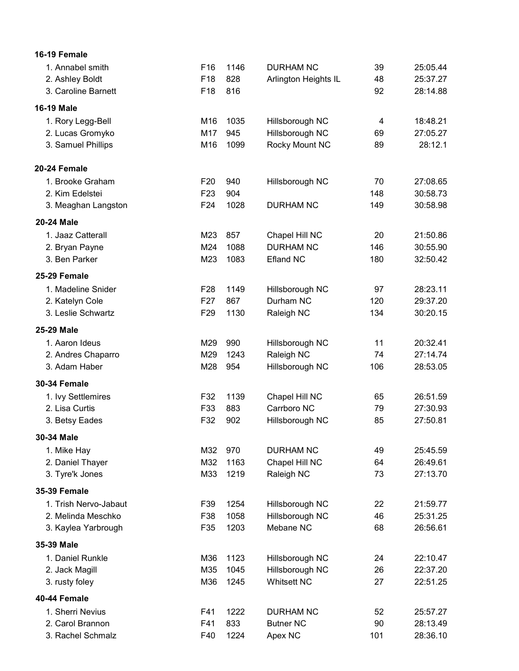| 16-19 Female          |                 |      |                      |     |          |
|-----------------------|-----------------|------|----------------------|-----|----------|
| 1. Annabel smith      | F16             | 1146 | <b>DURHAM NC</b>     | 39  | 25:05.44 |
| 2. Ashley Boldt       | F18             | 828  | Arlington Heights IL | 48  | 25:37.27 |
| 3. Caroline Barnett   | F18             | 816  |                      | 92  | 28:14.88 |
| <b>16-19 Male</b>     |                 |      |                      |     |          |
| 1. Rory Legg-Bell     | M16             | 1035 | Hillsborough NC      | 4   | 18:48.21 |
| 2. Lucas Gromyko      | M17             | 945  | Hillsborough NC      | 69  | 27:05.27 |
| 3. Samuel Phillips    | M16             | 1099 | Rocky Mount NC       | 89  | 28:12.1  |
| 20-24 Female          |                 |      |                      |     |          |
| 1. Brooke Graham      | F <sub>20</sub> | 940  | Hillsborough NC      | 70  | 27:08.65 |
| 2. Kim Edelstei       | F <sub>23</sub> | 904  |                      | 148 | 30:58.73 |
| 3. Meaghan Langston   | F <sub>24</sub> | 1028 | <b>DURHAM NC</b>     | 149 | 30:58.98 |
| <b>20-24 Male</b>     |                 |      |                      |     |          |
| 1. Jaaz Catterall     | M23             | 857  | Chapel Hill NC       | 20  | 21:50.86 |
| 2. Bryan Payne        | M24             | 1088 | <b>DURHAM NC</b>     | 146 | 30:55.90 |
| 3. Ben Parker         | M23             | 1083 | <b>Efland NC</b>     | 180 | 32:50.42 |
| 25-29 Female          |                 |      |                      |     |          |
| 1. Madeline Snider    | F <sub>28</sub> | 1149 | Hillsborough NC      | 97  | 28:23.11 |
| 2. Katelyn Cole       | F <sub>27</sub> | 867  | Durham NC            | 120 | 29:37.20 |
| 3. Leslie Schwartz    | F <sub>29</sub> | 1130 | Raleigh NC           | 134 | 30:20.15 |
| 25-29 Male            |                 |      |                      |     |          |
| 1. Aaron Ideus        | M29             | 990  | Hillsborough NC      | 11  | 20:32.41 |
| 2. Andres Chaparro    | M29             | 1243 | Raleigh NC           | 74  | 27:14.74 |
| 3. Adam Haber         | M28             | 954  | Hillsborough NC      | 106 | 28:53.05 |
| <b>30-34 Female</b>   |                 |      |                      |     |          |
| 1. Ivy Settlemires    | F32             | 1139 | Chapel Hill NC       | 65  | 26:51.59 |
| 2. Lisa Curtis        | F33             | 883  | Carrboro NC          | 79  | 27:30.93 |
| 3. Betsy Eades        | F32             | 902  | Hillsborough NC      | 85  | 27:50.81 |
| 30-34 Male            |                 |      |                      |     |          |
| 1. Mike Hay           | M32             | 970  | <b>DURHAM NC</b>     | 49  | 25:45.59 |
| 2. Daniel Thayer      | M32             | 1163 | Chapel Hill NC       | 64  | 26:49.61 |
| 3. Tyre'k Jones       | M33             | 1219 | Raleigh NC           | 73  | 27:13.70 |
| <b>35-39 Female</b>   |                 |      |                      |     |          |
| 1. Trish Nervo-Jabaut | F39             | 1254 | Hillsborough NC      | 22  | 21:59.77 |
| 2. Melinda Meschko    | F38             | 1058 | Hillsborough NC      | 46  | 25:31.25 |
| 3. Kaylea Yarbrough   | F35             | 1203 | Mebane NC            | 68  | 26:56.61 |
| 35-39 Male            |                 |      |                      |     |          |
| 1. Daniel Runkle      | M36             | 1123 | Hillsborough NC      | 24  | 22:10.47 |
| 2. Jack Magill        | M35             | 1045 | Hillsborough NC      | 26  | 22:37.20 |
| 3. rusty foley        | M36             | 1245 | <b>Whitsett NC</b>   | 27  | 22:51.25 |
| 40-44 Female          |                 |      |                      |     |          |
| 1. Sherri Nevius      | F41             | 1222 | <b>DURHAM NC</b>     | 52  | 25:57.27 |
| 2. Carol Brannon      | F41             | 833  | <b>Butner NC</b>     | 90  | 28:13.49 |
| 3. Rachel Schmalz     | F40             | 1224 | Apex NC              | 101 | 28:36.10 |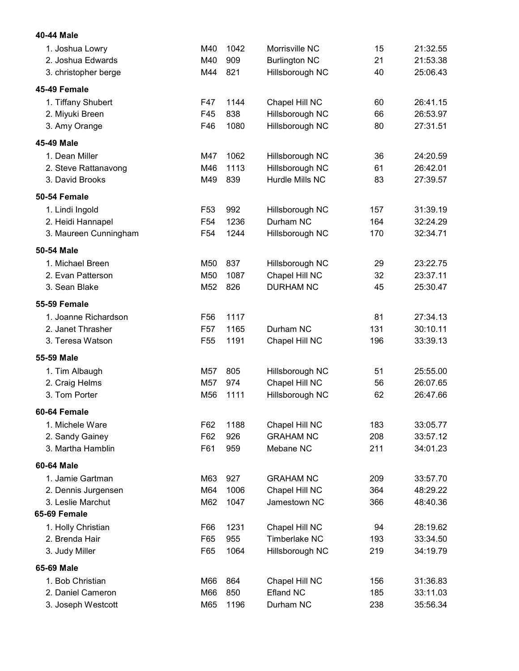| 40-44 Male            |                 |      |                      |     |          |
|-----------------------|-----------------|------|----------------------|-----|----------|
| 1. Joshua Lowry       | M40             | 1042 | Morrisville NC       | 15  | 21:32.55 |
| 2. Joshua Edwards     | M40             | 909  | <b>Burlington NC</b> | 21  | 21:53.38 |
| 3. christopher berge  | M44             | 821  | Hillsborough NC      | 40  | 25:06.43 |
| 45-49 Female          |                 |      |                      |     |          |
| 1. Tiffany Shubert    | F47             | 1144 | Chapel Hill NC       | 60  | 26:41.15 |
| 2. Miyuki Breen       | F45             | 838  | Hillsborough NC      | 66  | 26:53.97 |
| 3. Amy Orange         | F46             | 1080 | Hillsborough NC      | 80  | 27:31.51 |
| 45-49 Male            |                 |      |                      |     |          |
| 1. Dean Miller        | M47             | 1062 | Hillsborough NC      | 36  | 24:20.59 |
| 2. Steve Rattanavong  | M46             | 1113 | Hillsborough NC      | 61  | 26:42.01 |
| 3. David Brooks       | M49             | 839  | Hurdle Mills NC      | 83  | 27:39.57 |
| 50-54 Female          |                 |      |                      |     |          |
| 1. Lindi Ingold       | F <sub>53</sub> | 992  | Hillsborough NC      | 157 | 31:39.19 |
| 2. Heidi Hannapel     | F <sub>54</sub> | 1236 | Durham NC            | 164 | 32:24.29 |
| 3. Maureen Cunningham | F <sub>54</sub> | 1244 | Hillsborough NC      | 170 | 32:34.71 |
| 50-54 Male            |                 |      |                      |     |          |
| 1. Michael Breen      | M50             | 837  | Hillsborough NC      | 29  | 23:22.75 |
| 2. Evan Patterson     | M50             | 1087 | Chapel Hill NC       | 32  | 23:37.11 |
| 3. Sean Blake         | M52             | 826  | <b>DURHAM NC</b>     | 45  | 25:30.47 |
| <b>55-59 Female</b>   |                 |      |                      |     |          |
| 1. Joanne Richardson  | F <sub>56</sub> | 1117 |                      | 81  | 27:34.13 |
| 2. Janet Thrasher     | F <sub>57</sub> | 1165 | Durham NC            | 131 | 30:10.11 |
| 3. Teresa Watson      | F <sub>55</sub> | 1191 | Chapel Hill NC       | 196 | 33:39.13 |
| 55-59 Male            |                 |      |                      |     |          |
| 1. Tim Albaugh        | M57             | 805  | Hillsborough NC      | 51  | 25:55.00 |
| 2. Craig Helms        | M57             | 974  | Chapel Hill NC       | 56  | 26:07.65 |
| 3. Tom Porter         | M56             | 1111 | Hillsborough NC      | 62  | 26:47.66 |
| 60-64 Female          |                 |      |                      |     |          |
| 1. Michele Ware       | F62             | 1188 | Chapel Hill NC       | 183 | 33:05.77 |
| 2. Sandy Gainey       | F62             | 926  | <b>GRAHAM NC</b>     | 208 | 33:57.12 |
| 3. Martha Hamblin     | F61             | 959  | Mebane NC            | 211 | 34:01.23 |
| 60-64 Male            |                 |      |                      |     |          |
| 1. Jamie Gartman      | M63             | 927  | <b>GRAHAM NC</b>     | 209 | 33:57.70 |
| 2. Dennis Jurgensen   | M64             | 1006 | Chapel Hill NC       | 364 | 48:29.22 |
| 3. Leslie Marchut     | M62             | 1047 | Jamestown NC         | 366 | 48:40.36 |
| 65-69 Female          |                 |      |                      |     |          |
| 1. Holly Christian    | F66             | 1231 | Chapel Hill NC       | 94  | 28:19.62 |
| 2. Brenda Hair        | F65             | 955  | <b>Timberlake NC</b> | 193 | 33:34.50 |
| 3. Judy Miller        | F65             | 1064 | Hillsborough NC      | 219 | 34:19.79 |
| 65-69 Male            |                 |      |                      |     |          |
| 1. Bob Christian      | M66             | 864  | Chapel Hill NC       | 156 | 31:36.83 |
| 2. Daniel Cameron     | M66             | 850  | <b>Efland NC</b>     | 185 | 33:11.03 |
| 3. Joseph Westcott    | M65             | 1196 | Durham NC            | 238 | 35:56.34 |